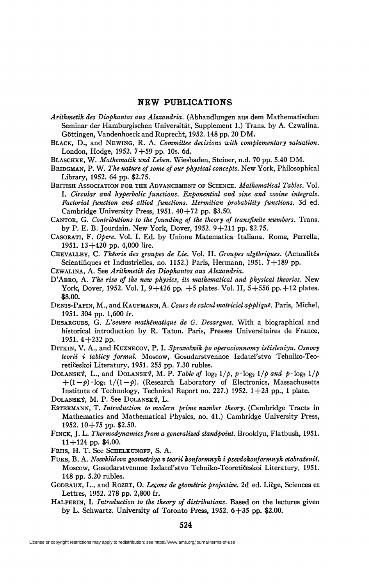## **NEW PUBLICATIONS**

- *Arithmetik des Diophantos aus Alexandria.* (Abhandlungen aus dem Mathematischen Seminar der Hamburgischen Universitat, Supplement 1.) Trans, by A. Czwalina. Göttingen, Vandenhoeck and Ruprecht, 1952.148 pp. 20 DM.
- BLACK, D., and NE WING, R. A. *Committee decisions with complementary valuation.*  London, Hodge, 1952. 7+59 pp. 10s. 6d.
- BLASCHKE, W. *Mathematik und Leben.* Wiesbaden, Steiner, n.d. 70 pp. 5.40 DM.
- BRIDGMAN, P. W. *The nature of some of our physical concepts.* New York, Philosophical Library, 1952. 64 pp. \$2.75.
- BRITISH ASSOCIATION FOR THE ADVANCEMENT OF SCIENCE. *Mathematical Tables.* Vol. I. *Circular and hyperbolic functions. Exponential and sine and cosine integrals. Factorial function and allied functions. Hermitian probability functions.* 3d ed. Cambridge University Press,  $1951.40 + 72$  pp. \$3.50.
- CANTOR, G. *Contributions to the founding of the theory of transfinite numbers.* Trans. by P. E. B. Jourdain. New York, Dover, 1952. 9+211 pp. \$2.75.
- CASORATI, F. *Opère.* Vol. I. Ed. by Unione Matematica Italiana. Rome, Perrella, 1951. 13+420 pp. 4,000 lire.
- CHEVALLEY, C. *Théorie des groupes de Lie.* Vol. IL *Groupes algébriques.* (Actualités Scientifiques et Industrielles, no. 1152.) Paris, Hermann, 1951. 7+189 pp.
- CZWALINA, A. See *Arithmetik des Diophantos aus Alexandria.*
- D'ABRO, A. *The rise of the new physics, its mathematical and physical theories.* New York, Dover, 1952. Vol. I,  $9+426$  pp.  $+5$  plates. Vol. II,  $5+556$  pp.  $+12$  plates. \$8.00.
- DENIS-PAPIN, M.,andKAUFMANN,A. *Cours de calcul matriciel appliqué.* Paris, Michel, 1951. 304 pp. 1,600 fr.
- DESARGUES, G. *Voeuvre mathématique de G. Desargues.* With a biographical and historical introduction by R. Taton. Paris, Presses Universitaires de France, 1951. 4+232 pp.
- DITKIN, V. A., and KUZNECOV, P. I. *Spravolnik po operacionnomy islisleniyu. Osnovy teorii i tablicy formul.* Moscow, Gosudarstvennoe Izdatel'stvo Tehniko-Teoretiëeskoi Literatury, 1951. 255 pp. 7.30 rubles.
- DOLANSKÝ, L., and DOLANSKÝ, M. P. Table of  $\log_2 1/p$ ,  $p \cdot \log_2 1/p$  and  $p \cdot \log_2 1/p$  $+(1-p)\cdot log_2 1/(1-p)$ . (Research Laboratory of Electronics, Massachusetts Institute of Technology, Technical Report no. 227.) 1952.  $1+23$  pp., 1 plate. DOLANSKY, M. P. See DOLANSKY, L.
- ESTERMANN, T. *Introduction to modem prime number theory.* (Cambridge Tracts in Mathematics and Mathematical Physics, no. 41.) Cambridge University Press, 1952. 10+75 pp. \$2.50.
- FINCK, J. L. *Thermodynamics from a generalized standpoint.* Brooklyn, Flatbush, 1951.  $11+124$  pp. \$4.00.
- FRIIS, H. T. See SCHELKUNOFF, S. A.
- FUKS, B. A. Neevklidova geometriya v teorii konformnyh i psevdokonformnyh otobraženii. Moscow, Gosudarstvennoe Izdatel'stvo Tehniko-Teoretiëeskoi Literatury, 1951. 148 pp. 5.20 rubles.
- GODEAUX, L., and ROZET, O. *Leçons de géométrie projective.* 2d ed. Liège, Sciences et Lettres, 1952. 278 pp. 2,800 fr.
- HALPERIN, I. *Introduction to the theory of distributions.* Based on the lectures given by L. Schwartz. University of Toronto Press, 1952. 6+35 pp. \$2.00.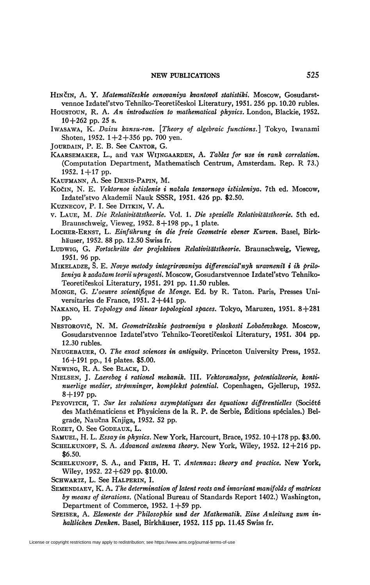## NEW PUBLICATIONS 525

- HINCIN, A. Y. *Matematileskie osnovaniya kvantovoï statistiki.* Moscow, Gosudarstvennoe Izdatel'stvo Tehniko-Teoretiöeskoi Literatury, 1951. 256 pp. 10.20 rubles.
- HOUSTOUN, R. A. *An introduction to mathematical physics.* London, Blackie, 1952. 10+262 pp. 25 s.
- IWASAWA, K. *Daisu kansu-ron. [Theory of algebraic functions.]* Tokyo, Iwanamî Shoten, 1952.  $1+2+356$  pp. 700 yen.
- JOURDAIN, P. E. B. See CANTOR, G.
- KAARSEMAKER, L., and VAN WIJNGAARDEN, A. *Tables for use in rank correlation.*  (Computation Department, Mathematisch Centrum, Amsterdam. Rep. R 73.) 1952. 1 + 17 pp.
- KAUFMANN, A. See DENIS-PAPIN, M.
- Kočin, N. E. *Vektornoe isčislenie i načala tenzornogo isčisleniya*. 7th ed. Moscow, Izdatel'stvo Akademii Nauk SSSR, 1951. 426 pp. \$2.50.
- KUZNECOV, P. I. See DITKIN, V. A.
- v. LAUE, M. *Die Relativit'dtstheorie.* Vol. 1. *Die spezielle Relativiteitstheorie.* 5th ed. Braunschweig, Vieweg, 1952. 8+198 pp., 1 plate.
- LOCHER-ERNST, L. *Einfiihrung in die freie Geometrie ebener Kurven.* Basel, Birkhâuser, 1952. *^* pp. 12.50 Swiss fr.
- LUDWIG, G. *Fortschritte der projektiven Relativitâtstheorie.* Braunschweig, Vieweg, 1951. 96 pp.
- MIKELADZE, 5. E. *Novye metody integrirovaniya differencial'nyh uravnenil i ih priloleniya k zadalam teorii uprugosti.* Moscow, Gosudarstvennoe Izdatel'stvo Tehniko-Teoretiëeskoi Literatury, 1951. 291 pp. 11.50 rubles.
- MONGE, G. *Voeuvre scientifique de Monge.* Ed. by R. Taton. Paris, Presses Universitaries de France, 1951. 2+441 pp.
- NAKANO, H. *Topology and linear topological spaces.* Tokyo, Maruzen, 1951. 8+281 pp.
- NESTOROVIC, N. M. *Geometrileskie postroeniya v ploskosti Lobaëevskogo.* Moscow, Gosudarstvennoe Izdatel'stvo Tehniko-Teoretičeskoi Literatury, 1951. 304 pp. 12.30 rubles.
- NEUGEBAUER, O. *The exact sciences in antiquity.* Princeton University Press, 1952. 16+191 pp., 14 plates. \$5.00.
- NEWING, R. A. See BLACK, D.
- NIELSEN, J. *Laerebog i rationel mekanik.* III. *Vektoranalyse<sup>t</sup> potentialteorie, konti\* nuerlige medier, strtfmninger, komplekst potential.* Copenhagen, Gjellerup, 1952. 8+197 pp.
- PEYOVITCH, T. *Sur les solutions asymptotiques des équations différentielles* (Société des Mathématiciens et Physiciens de la R. P. de Serbie, Éditions spéciales.) Belgrade, Nau&ia Knjiga, 1952. 52 pp.
- ROZET, O. See GODEAUX, L.
- SAMUEL, H. L. *Essay in physics.* New York, Harcourt, Brace, 1952.10+178 pp. \$3.00.
- SCHELKUNOFF, S. A. *Advanced antenna theory.* New York, Wiley, 1952. 12+216 pp. \$6.50.
- SCHELKUNOFF, S. A., and FRIIS, H. T. *Antennas: theory and practice.* New York, Wiley, 1952. 22 + 629 pp. \$10.00.
- SCHWARTZ, L. See HALPERIN, I.
- SEMENDIAEV, K. A. *The determination of latent roots and invariant manifolds of matrices by means of iterations.* (National Bureau of Standards Report 1402.) Washington, Department of Commerce,  $1952. 1+59$  pp.
- SPEISER, A. *Elemente der Philosophie und der Mathematik. Eine Anleitung zum inhaltlichen Denken.* Basel, Birkhâuser, 1952. 115 pp. 11.45 Swiss fr.